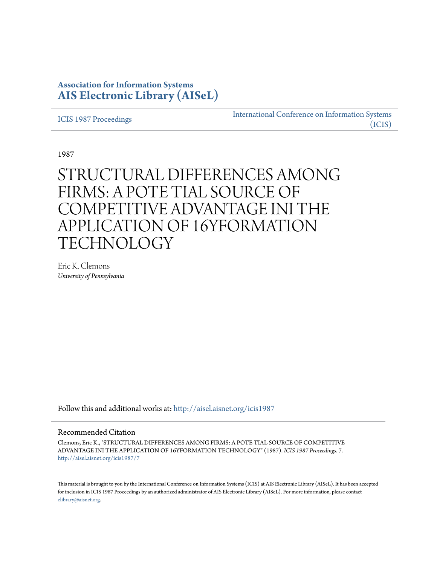## **Association for Information Systems [AIS Electronic Library \(AISeL\)](http://aisel.aisnet.org?utm_source=aisel.aisnet.org%2Ficis1987%2F7&utm_medium=PDF&utm_campaign=PDFCoverPages)**

[ICIS 1987 Proceedings](http://aisel.aisnet.org/icis1987?utm_source=aisel.aisnet.org%2Ficis1987%2F7&utm_medium=PDF&utm_campaign=PDFCoverPages)

[International Conference on Information Systems](http://aisel.aisnet.org/icis?utm_source=aisel.aisnet.org%2Ficis1987%2F7&utm_medium=PDF&utm_campaign=PDFCoverPages) [\(ICIS\)](http://aisel.aisnet.org/icis?utm_source=aisel.aisnet.org%2Ficis1987%2F7&utm_medium=PDF&utm_campaign=PDFCoverPages)

1987

# STRUCTURAL DIFFERENCES AMONG FIRMS: A POTE TIAL SOURCE OF COMPETITIVE ADVANTAGE INI THE APPLICATION OF 16YFORMATION TECHNOLOGY

Eric K. Clemons *University of Pennsylvania*

Follow this and additional works at: [http://aisel.aisnet.org/icis1987](http://aisel.aisnet.org/icis1987?utm_source=aisel.aisnet.org%2Ficis1987%2F7&utm_medium=PDF&utm_campaign=PDFCoverPages)

### Recommended Citation

Clemons, Eric K., "STRUCTURAL DIFFERENCES AMONG FIRMS: A POTE TIAL SOURCE OF COMPETITIVE ADVANTAGE INI THE APPLICATION OF 16YFORMATION TECHNOLOGY" (1987). *ICIS 1987 Proceedings*. 7. [http://aisel.aisnet.org/icis1987/7](http://aisel.aisnet.org/icis1987/7?utm_source=aisel.aisnet.org%2Ficis1987%2F7&utm_medium=PDF&utm_campaign=PDFCoverPages)

This material is brought to you by the International Conference on Information Systems (ICIS) at AIS Electronic Library (AISeL). It has been accepted for inclusion in ICIS 1987 Proceedings by an authorized administrator of AIS Electronic Library (AISeL). For more information, please contact [elibrary@aisnet.org.](mailto:elibrary@aisnet.org%3E)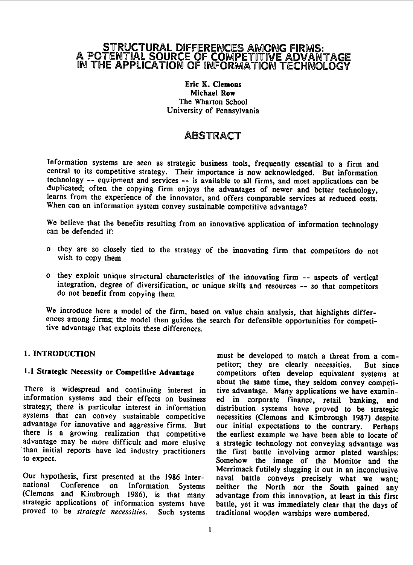### STRUCTURAL DIFFERENCES AMONG FIRMS: A POTENTIAL SOURCE OF COMPETITIVE ADVANTAGE IN THE APPLICATION OF INFORMATION TECHNOLOGY

### Eric K. Clemons Michael Row The Wharton School University of Pennsylvania

## ABSTRACT

Information systems are seen as strategic business tools, frequently essential to a firm and central to its competitive strategy. Their importance is now acknowledged. But information technology -- equipment and services -- is available to all firms, and most applications can be duplicated; often the copying firm enjoys the advantages of newer and better technology, learns from the experience of the innovator, and offers comparable services at reduced costs. When can an information system convey sustainable competitive advantage?

We believe that the benefits resulting from an innovative application of information technology can be defended if:

- o they are so closely tied to the strategy of the innovating firm that competitors do not wish to copy them
- <sup>o</sup> they exploit unique structural characteristics of the innovating firm -- aspects of vertical integration, degree of diversification, or unique skills and resources -- so that competitors do not benefit from copying them

We introduce here <sup>a</sup> model of the firm, based on value chain analysis, that highlights differences among firms; the model then guides the search for defensible opportunities for competitive advantage that exploits these differences.

There is widespread and continuing interest in tive advantage. Many applications we have examin-<br>information systems and their effects on business ed in corporate finance, retail banking, and information systems and their effects on business ed in corporate finance, retail banking, and strategy; there is particular interest in information distribution systems have proved to be strategic strategy; there is particular interest in information distribution systems have proved to be strategic advantage for innovative and aggressive firms. But our initial expectations to the contrary. Perhaps there is a growing realization that competitive the earliest example we have been able to locate of there is a growing realization that competitive the earliest example we have been able to locate of advantage was advantage may be more difficult and more elusive a strategic technology not conveying advantage was than initial reports have led industry practitioners the first battle involving armor plated warships: than initial reports have led industry practitioners the first battle involving armor plated warships:<br>to expect.

national Conference on Information Systems neither the North nor the South gained any (Clemons and Kimbrough 1986), is that many advantage from this innovation, at least in this first strategic applications of information systems have battle, yet it was immediately clear that the proved to be strategic necessities. Such systems traditional wooden warships were numbered. proved to be strategic necessities. Such systems

1. INTRODUCTION must be developed to match <sup>a</sup> threat from <sup>a</sup> competitor; they are clearly necessities. But since 1.1 Strategic Necessity or Competitive Advantage competitors often develop equivalent systems at about the same time, they seldom convey competinecessities (Clemons and Kimbrough 1987) despite<br>our initial expectations to the contrary. Perhaps Somehow the image of the Monitor and the Merrimack futilely slugging it out in an inconclusive Our hypothesis, first presented at the 1986 Inter-<br>naval battle conveys precisely what we want;<br>national Conference on Information Systems neither the North por the South gained any advantage from this innovation, at least in this first<br>battle, yet it was immediately clear that the days of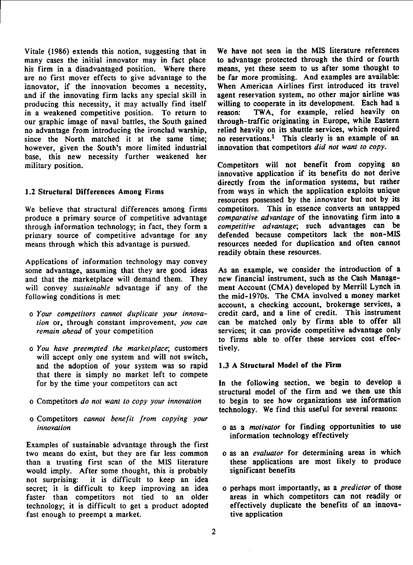many cases the initial innovator may in fact place to advantage protected through the third or fourth his firm in a disadvantaged position. Where there means, vet these seem to us after some thought to his firm in a disadvantaged position. Where there are no first mover effects to give advantage to the are no first mover effects to give advantage to the be far more promising. And examples are available:<br>innovator, if the innovation becomes a necessity. When American Airlines first introduced its travel innovator, if the innovation becomes a necessity, When American Airlines first introduced its travel<br>and if the innovating firm lacks any special skill in agent reservation system, no other major airline was producing this necessity, it may actually find itself willing to cooperate in its development. Each had a<br>in a weakened competitive position. To return to reason: TWA, for example, relied heavily on in a weakened competitive position. To return to reason: TWA, for example, relied heavily on our graphic image of naval battles, the South gained through-traffic originating in Europe, while Eastern our graphic image of naval battles, the South gained through-traffic originating in Europe, while Eastern no advantage from introducing the ironclad warship, relied heavily on its shuttle services, which required no advantage from introducing the ironclad warship, relied heavily on its shuttle services, which required since the North matched it at the same time: no reservations.<sup>1</sup> This clearly is an example of an since the North matched it at the same time; no reservations.<sup>1</sup> This clearly is an example of however, given the South's more limited industrial innovation that competitors *did not want to copy*. however, given the South's more limited industrial base, this new necessity further weakened her military position. Competitors will not benefit from copying an

We believe that structural differences among firms competitors. This in essence converts an untapped produce a primary source of competitive advantage *comparative advantage* of the innovating firm into a produce a primary source of competitive advantage through information technology; in fact, they form a competitive advantage; such advantages can be primary source of competitive advantage for any defended because competitors lack the non-MIS primary source of competitive advantage for any means through which this advantage is pursued. resources needed for duplication and often cannot

Applications of information technology may convey some advantage, assuming that they are good ideas As an example, we consider the introduction of a<br>and that the marketplace will demand them. They new financial instrument, such as the Cash Manageand that the marketplace will demand them. They new financial instrument, such as the Cash Manage-<br>will convey *sustainable* advantage if any of the ment Account (CMA) developed by Merrill Lynch in will convey *sustainable* advantage if any of the following conditions is met:

- 
- o You have preempted the marketplace; customers tively. will accept only one system and will not switch, and the adoption of your system was so rapid 1.3 A Structural Model of the Firm that there is simply no market left to compete for by the time your competitors can act In the following section, we begin to develop <sup>a</sup>
- 
- <sup>o</sup> Competitors cannot benefit from copying your

Examples of sustainable advantage through the first two means do exist, but they are far less common o as an *evaluator* for determining areas in which<br>than a trusting first scan of the MIS literature these applications are most likely to produce than a trusting first scan of the MIS literature would imply. After some thought, this is probably significant benefits not surprising: it is difficult to keep an idea secret; it is difficult to keep improving an idea o perhaps most importantly, as a *predictor* of those faster than competitors not tied to an older areas in which competitors can not readily or faster than competitors not tied to an older technology; it is difficult to get a product adopted effectively duplicate the benefits of an innova-<br>fast enough to preempt a market. fast enough to preempt a market.

Vitale (1986) extends this notion, suggesting that in We have not seen in the MIS literature references agent reservation system, no other major airline was willing to cooperate in its development. Each had a

innovative application if its benefits do not derive directly from the information systems, but rather 1.2 Structural Differences Among Firms from ways in which the application exploits unique resources possessed by the innovator but not by its competitors. This in essence converts an untapped readily obtain these resources.

the mid-1970s. The CMA involved a money market account, a checking account, brokerage services, a o Your competitors cannot duplicate your innova- credit card, and a line of credit. This instrument<br>tion or, through constant improvement, you can can be matched only by firms able to offer all can be matched only by firms able to offer all remain ahead of your competition services; it can provide competitive advantage only to firms able to offer these services cost effec-

structural model of the firm and we then use this o Competitors do not want to copy your innovation to begin to see how organizations use information technology. We find this useful for several reasons:

- innovation **intervalse in the contract of the contract of the contract of the contract of the contract of the contract of the contract of the contract of the contract of the contract of the contract of the contract of the** information technology effectively
	-
	-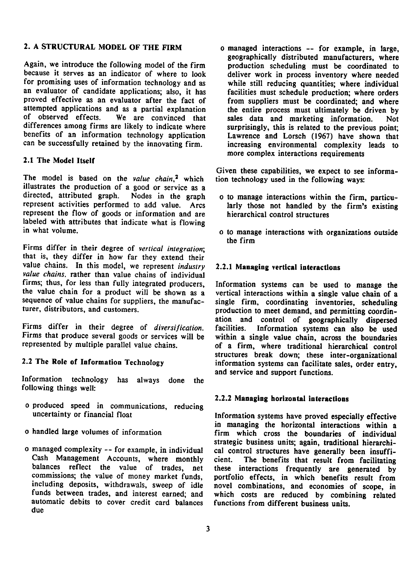### 2. A STRUCTURAL MODEL OF THE FIRM o managed interactions -- for example, in large,

Again, we introduce the following model of the firm production scheduling must be coordinated to because it serves as an indicator of where to look deliver work in process inventory where needed for promising uses of information technology and as an evaluator of candidate applications; also, it has facilities must schedule production; where orders proved effective as an evaluator after the fact of from suppliers must be coordinated; and where attempted applications and as a partial explanation the entire process must ultimately be driven by of observed effects. We are convinced that sales data and marketing information. Not differences among firms are likely to indicate where benefits of an information technology application Lawrence and Lorsch (1967) have shown that can be successfully retained by the innovating firm. increasing environmental complexity leads to

### 2.1 The Model Itself

The model is based on the value chain,<sup>2</sup> which tion technology used in the following ways: illustrates the production of <sup>a</sup> good or service as <sup>a</sup> directed, attributed graph. Nodes in the graph o to manage interactions within the firm, particurepresent activities performed to add value. Arcs larly those not handled by the firm's existing represent the flow of goods or information and are hierarchical control structures labeled with attributes that indicate what is flowing<br>in what volume.

Firms differ in their degree of vertical integration; that is, they differ in how far they extend their value chains. In this model, we represent *industry* 2.2.1 Managing vertical interactions value chains, rather than value chains of individual firms; thus, for less than fully integrated producers, firms; thus, for less than fully integrated producers, Information systems can be used to manage the the value chain of a the value chain for a product will be shown as a vertical interactions within a single value chain of a sequence of value chains for suppliers, the manufac-<br>single firm, coordinating inventories, scheduling sequence of value chains for suppliers, the manufac-<br>turer, distributors, and customers.<br>production to meet demand, and permitting coordin-

Firms that produce several goods or services will be within a single value chain, across the boundaries represented by multiple parallel value chains.

and service and support functions. Information technology has always done the following things well:

- <sup>o</sup> produced speed in communications, reducing
- 
- Cash Management Accounts, where monthly cient.<br>balances reflect the value of trades, net these automatic debits to cover credit card balances functions from different business units. due

geographically distributed manufacturers, where deliver work in process inventory where needed while still reducing quantities; where individual sales data and marketing information. Not<br>surprisingly, this is related to the previous point: more complex interactions requirements

Given these capabilities, we expect to see informa-

- 
- o to manage interactions with organizations outside the firm

production to meet demand, and permitting coordination and control of geographically dispersed<br>facilities. Information systems can also be used Firms differ in their degree of *diversification*. facilities. Information systems can also be used<br>Firms that produce several goods or services will be within a single value chain, across the boundaries of a firm, where traditional hierarchical control structures break down; these inter-organizational 2.2 The Role of Information Technology information systems can facilitate sales, order entry,

### 2.2.2 Managing horizontal interactions

Information systems have proved especially effective in managing the horizontal interactions within a <sup>o</sup> handled large volumes of information firm which cross the boundaries of individual strategic business units; again, traditional hierarchio managed complexity -- for example, in individual cal control structures have generally been insuffi-<br>Cash Management Accounts, where monthly cient. The benefits that result from facilitating these interactions frequently are generated by commissions; the value of money market funds, portfolio effects, in which benefits result from including deposits, withdrawals, sweep of idle novel combinations, and economies of scope in including deposits, withdrawals, sweep of idle novel combinations, and economies of scope, in funds between trades, and interest earned: and which costs are reduced by combining related which costs are reduced by combining related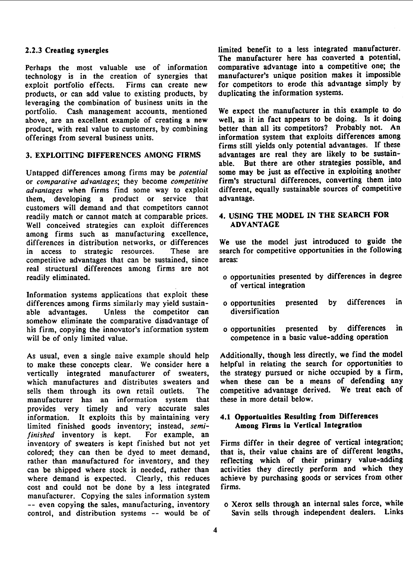Perhaps the most valuable use of information comparative advantage into a competitive one; the technology is in the creation of synergies that manufacturer's unique position makes it impossible technology is in the creation of synergies that exploit portfolio effects. Firms can create new products, or can add value to existing products, by leveraging the combination of business units in the portfolio. Cash management accounts, mentioned We expect the manufacturer in this example to do above, are an excellent example of creating a new well, as it in fact appears to be doing. Is it doing above, are an excellent example of creating a new well, as it in fact appears to be doing. Is it doing<br>product, with real value to customers, by combining better than all its competitors? Probably not. An product, with real value to customers, by combining offerings from several business units.

Untapped differences among firms may be *potential* some may be just as effective in exploiting another or *comparative advantages*; they become *competitive* firm's structural differences, converting them into or comparative advantages; they become competitive firm's structural differences, converting them into advantages when firms find some way to exploit different, equally sustainable sources of competitive advantages when firms find some way to exploit different, them, developing a product or service that advantage. them, developing a product or service that customers will demand and that competitors cannot readily match or cannot match at comparable prices. 4. USING THE MODEL IN THE SEARCH FOR<br>Well conceived strategies can exploit differences ADVANTAGE Well conceived strategies can exploit differences among firms such as manufacturing excellence, differences in distribution networks, or differences in access to strategic resources. These are search for competitive opportunities in the following<br>competitive advantages that can be sustained since areas: competitive advantages that can be sustained, since real structural differences among firms are not

Information systems applications that exploit these differences among firms similarly may yield sustain-<br>able advantages Unless the competitor can diversification able advantages. Unless the competitor can somehow eliminate the comparative disadvantage of his firm, copying the innovator's information system o opportunities presented by differences in will be of only limited value.

to make these concepts clear. We consider here a helpful in relating the search for opportunities to vertically integrated manufacturer of sweaters, the strategy pursued or niche occupied by a firm, vertically integrated manufacturer of sweaters, the strategy pursued or niche occupied by a firm,<br>which manufactures and distributes sweaters and when these can be a means of defending any which manufactures and distributes sweaters and sells them through its own retail outlets. The manufacturer has an information system that provides very timely and very accurate sales information. It exploits this by maintaining very 4.1 Opportunities Resulting from Differences<br>limited finished goods inventory: instead. *semi*-<br>**Among Firms in Vertical Integration** limited finished goods inventory; instead, semi-<br>finished inventory is kept. For example, an finished inventory is kept. inventory of sweaters is kept finished but not yet Firms differ in their degree of vertical integration;<br>colored: they can then be dyed to meet demand, that is, their value chains are of different lengths, colored; they can then be dyed to meet demand, rather than manufactured for inventory, and they reflecting which of their primary value-adding can be shipped where stock is needed, rather than activities they directly perform and which they where demand is expected. Clearly, this reduces achieve by purchasing goods or services from other where demand is expected. Clearly, this reduces achieven cost and could not be done by a less integrated firms. cost and could not be done by a less integrated manufacturer. Copying the sales information system -- even copying the sales, manufacturing, inventory o Xerox sells through an internal sales force, while<br>control, and distribution systems -- would be of Savin sells through independent dealers. Links control, and distribution systems -- would be of

2.2.3 Creating synergies limited benefit to <sup>a</sup> less integrated manufacturer. The manufacturer here has converted a potential, comparative advantage into a competitive one; the for competitors to erode this advantage simply by duplicating the information systems.

information system that exploits differences among firms still yields only potential advantages. If these 3. EXPLOITING DIFFERENCES AMONG FIRMS advantages are real they are likely to be sustainable. But there are other strategies possible, and some may be just as effective in exploiting another

We use the model just introduced to guide the

- o opportunities presented by differences in degree of vertical integration
- 
- competence in a basic value-adding operation

As usual, even a single naive example should help Additionally, though less directly, we find the model<br>to make these concepts clear. We consider here a helpful in relating the search for opportunities to The competitive advantage derived. We treat each of that these in more detail below.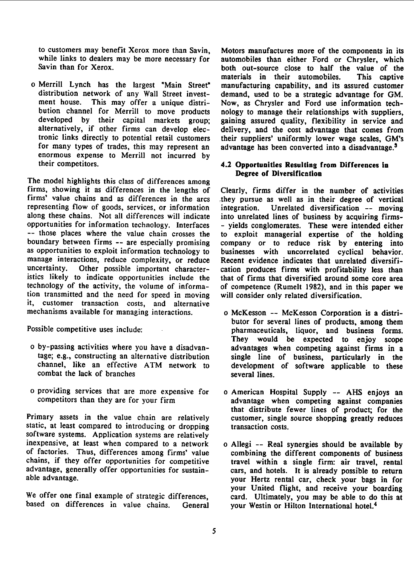enormous expense to Merrill not incurred by their competitors.

The model highlights this class of differences among firms, showing it as differences in the lengths of Clearly, firms differ in the number of activities representing flow of goods, services, or information along these chains. Not all differences will indicate opportunities for information technology. Interfaces - yields conglomerates. These were intended either<br>-- those places where the value chain crosses the to exploit managerial expertise of the holding boundary between firms -- are especially promising as opportunities to exploit information technology to businesses with uncorrelated cyclical behavior. manage interactions, reduce complexity, or reduce Recent evidence indicates that unrelated diversifi-<br>uncertainty. Other possible important character- cation produces firms with profitability less than istics likely to indicate opportunities include the that of firms that diversified around some core area technology of the activity, the volume of informa- of competence (Rumelt 1982), and in this paper we tion transmitted and the need for speed in moving will consider only related diversification. it, customer transaction costs, and alternative mechanisms available for managing interactions.  $\qquad$  o McKesson -- McKesson Corporation is a distri-

- o by-passing activities where you have a disadvan-<br>tage; e.g., constructing an alternative distribution single line of business, particularly in the combat the lack of branches several lines.
- o providing services that are more expensive for o American Hospital Supply -- AHS enjoys an competitors than they are for your firm advantage when competing against companies

Primary assets in the value chain are relatively customer, single source shopping greatly reduces static, at least compared to introducing or dropping transaction costs. software systems. Application systems are relatively inexpensive, at least when compared to a network o Allegi -- Real synergies should be available by of factories. Thus, differences among firms' value combining the different components of business chains, if they offer opportunities for competitive travel within <sup>a</sup> single firm: air travel, rental advantage, generally offer opportunities for sustain-<br>able advantage.<br>your Hertz rental car check your hass in for

We offer one final example of strategic differences, based on differences in value chains. General based on differences in value chains. General your Westin or Hilton International hotel.<sup>4</sup>

to customers may benefit Xerox more than Savin, Motors manufactures more of the components in its<br>while links to dealers may be more necessary for automobiles than either Ford or Chrysler, which while links to dealers may be more necessary for automobiles than either Ford or Chrysler, which<br>Savin than for Xerox.<br>both out-source close to half the value of the both out-source close to half the value of the materials in their automobiles. This captive materials in their automobiles. o Merrill Lynch has the largest "Main Street" manufacturing capability, and its assured customer distribution network of any Wall Street invest-<br>ment house. This may offer a unique distri-<br>Now, as Chrysler and Ford use information tech-Now, as Chrysler and Ford use information techbution channel for Merrill to move products nology to manage their relationships with suppliers, developed by their capital markets group: gaining assured quality, flexibility in service and developed by their capital markets group; gaining assured quality, flexibility in service and alternatively, if other firms can develop elec-<br>delivery, and the cost advantage that comes from alternatively, if other firms can develop elec-<br>tronic links directly to potential retail customers their suppliers' uniformly lower wage scales. GM's tronic links directly to potential retail customers their suppliers' uniformly lower wage scales, GM's for many types of trades, this may represent an advantage has been converted into a disadvantage.<sup>3</sup> advantage has been converted into a disadvantage.<sup>3</sup>

### 4.2 Opportunities Resulting from Differences in Degree of Diversification

they pursue as well as in their degree of vertical<br>integration. Unrelated diversification -- moving into unrelated lines of business by acquiring firmsthe exploit managerial expertise of the holding<br>company or to reduce risk by entering into cation produces firms with profitability less than

- butor for several lines of products, among them Possible competitive uses include: pharmaceuticals, liquor, and business forms. They would be expected to enjoy scope tage; e.g., constructing an alternative distribution single line of business, particularly in the development of software applicable to these
	- advantage when competing against companies that distribute fewer lines of product; for the
	- your Hertz rental car, check your bags in for your United flight, and receive your boarding<br>card. Ultimately, you may be able to do this at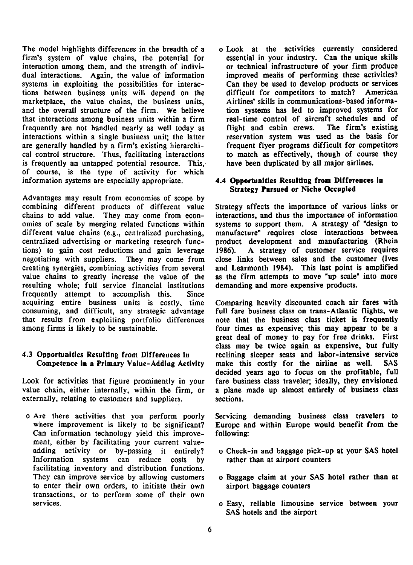The model highlights differences in the breadth of a o Look at the activities currently considered firm's system of value chains, the potential for essential in your industry. Can the unique skills interaction among them, and the strength of indivi-<br>dual interactions. Again, the value of information improved means of performing these activities? dual interactions. Again, the value of information systems in exploiting the possibilities for interac- Can they be used to develop products or services tions between business units will depend on the difficult for competitors to match? American marketplace, the value chains, the business units, Airlines' skills in communications-based informaand the overall structure of the firm. We believe tion systems has led to improved systems for that interactions among business units within a firm a real-time control of aircraft schedules and of that interactions among business units within a firm frequently are not handled nearly as well today as flight and cabin crews. The firm's existing interactions within a single business unit; the latter reservation system was used as the basis for interactions within a single business unit; the latter are generally handled by a firm's existing hierarchi-<br>cal control structure. Thus, facilitating interactions to match as effectively, though of course they cal control structure. Thus, facilitating interactions to match as effectively, though of cours<br>is frequently an untapped potential resource. This, have been duplicated by all major airlines. is frequently an untapped potential resource. This, of course, is the type of activity for which information systems are especially appropriate. 4.4 Opportunities Resulting from Differences in

Advantages may result from economies of scope by combining different products of different value Strategy affects the importance of various links or chains to add value. They may come from econ- interactions, and thus the importance of information omies of scale by merging related functions within systems to support them. A strategy of "design to different value chains (e.g., centralized purchasing, manufacture" requires close interactions between centralized advertising or marketing research func-<br>tions) to gain cost reductions and gain leverage 1986). A strategy of customer service requires tions) to gain cost reductions and gain leverage 1986). <br>
negotiating with suppliers. They may come from close creating synergies, combining activities from several and Learmonth 1984). This last point is amplified value chains to greatly increase the value of the as the firm attempts to move "up scale" into more resulting whole; full service financial institutions demanding and more expensive products. frequently attempt to accomplish this. Since acquiring entire business units is costly, time Comparing heavily discounted coach air fares with consuming, and difficult, any strategic advantage full fare business class on trans-Atlantic flights, we consuming, and difficult, any strategic advantage that results from exploiting portfolio differences among firms is likely to be sustainable. four times as expensive; this may appear to be a

Look for activities that figure prominently in your fare business class traveler; ideally, they envisioned value chain, either internally, within the firm, or <sup>a</sup> plane made up almost entirely of business class externally, relating to customers and suppliers. sections.

o Are there activities that you perform poorly Servicing demanding business class travelers to Can information technology yield this improve- following: ment, either by facilitating your current value-Information systems can reduce costs by rather than at airport counters facilitating inventory and distribution functions. to enter their own orders, to initiate their own airport baggage counters transactions, or to perform some of their own

# Strategy Pursued or Niche Occupied

close links between sales and the customer (Ives

note that the business class ticket is frequently great deal of money to pay for free drinks. First class may be twice again as expensive, but fully 4.3 Opportunities Resulting from Differences in reclining sleeper seats and labor-intensive service Competence in <sup>a</sup> Primary Value-Adding Activity make this costly for the airline as well. SAS decided years ago to focus on the profitable, full

where improvement is likely to be significant? Europe and within Europe would benefit from the

- adding activity or by-passing it entirely? o Check-in and baggage pick-up at your SAS hotel
- They can improve service by allowing customers o Baggage claim at your SAS hotel rather than at
- services. o Easy, reliable limousine service between your SAS hotels and the airport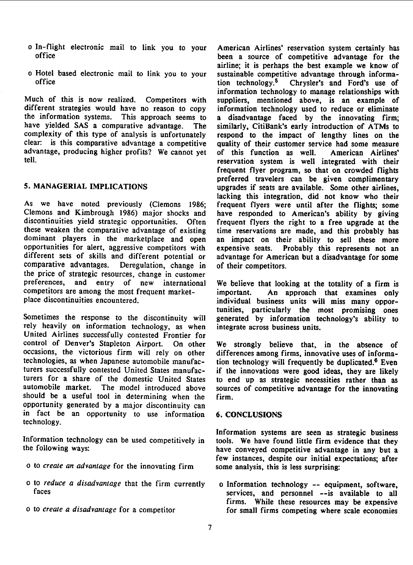- 
- 

Much of this is now realized. Competitors with suppliers, mentioned above, is an example of different strategies would have no reason to copy information technology used to reduce or eliminate<br>the information systems. This approach seems to a disadvantage faced by the innovating firm: the information systems. This approach seems to a disadvantage faced by the innovating firm;<br>have yielded SAS a comparative advantage. The similarly. CitiBank's early introduction of ATMs to complexity of this type of analysis is unfortunately respond to the impact of lengthy lines on the clear: is this comparative advantage a competitive quality of their customer service had some measure advantage, producing higher profits? We cannot yet of this function as well. American Airlines'<br>reservation system is well integrated with their

As we have noted previously (Clemons 1986; frequent flyers were until after the flights; some Clemons and Kimbrough 1986) major shocks and have responded to American's ability by giving Clemons and Kimbrough 1986) major shocks and have responded to American's ability by giving these weaken the comparative advantage of existing time reservations are made, and this probably has dominant players in the marketplace and open an impact on their ability to sell these more opportunities for alert, aggressive competitors with expensive seats. Probably this represents not an different sets of skills and different potential or advantage for American but <sup>a</sup> disadvantage for some comparative advantages. Deregulation, change in of their competitors. the price of strategic resources, change in customer<br>preferences, and entry of new international competitors are among the most frequent market-<br>
place discontinuities encountered.<br>
individual business units will miss many oppor-

rely heavily on information technology, as when integrate across business units. United Airlines successfully contested Frontier for control of Denver's Stapleton Airport. On other We strongly believe that, in the absence of occasions, the victorious firm will rely on other differences among firms, innovative uses of informatechnologies, as when Japanese automobile manufac-<br>tion technology will frequently be duplicated.<sup>6</sup> Even turers successfully contested United States manufac- if the innovations were good ideas, they are likely turers for a share of the domestic United States to end up as strategic necessities rather than as turers for a share of the domestic United States to end up as strategic necessities rather than as<br>automobile market. The model introduced above sources of competitive advantage for the innovating should be <sup>a</sup> useful tool in determining when the firm. opportunity generated by a major discontinuity can in fact be an opportunity to use information 6. CONCLUSIONS technology.

- <sup>o</sup> to create an advantage for the innovating firm some analysis, this is less surprising:
- o to reduce a disadvantage that the firm currently of information technology -- equipment, software,<br>faces and personnel --is available to all
- 

o In-flight electronic mail to link you to your American Airlines' reservation system certainly has<br>office the been a source of competitive advantage for the been a source of competitive advantage for the airline; it is perhaps the best example we know of o Hotel based electronic mail to link you to your sustainable competitive advantage through informa-<br>office tion technology<sup>5</sup> Chrysler's and Eord's use of tion technology.<sup>5</sup> Chrysler's and Ford's use of information technology to manage relationships with The similarly, CitiBank's early introduction of ATMs to quality of their customer service had some measure reservation system is well integrated with their frequent flyer program, so that on crowded flights preferred travelers can be given complimentary 5. MANAGERIAL IMPLICATIONS upgrades if seats are available. Some other airlines, lacking this integration, did not know who their Often frequent flyers the right to a free upgrade at the

We believe that looking at the totality of a firm is individual business units will miss many opportunities, particularly the most promising ones Sometimes the response to the discontinuity will generated by information technology's ability to

sources of competitive advantage for the innovating

Information systems are seen as strategic business Information technology can be used competitively in tools. We have found little firm evidence that they the following ways:<br>have conveved competitive advantage in any but a have conveyed competitive advantage in any but a few instances, despite our initial expectations; after

services, and personnel --is available to all firms. While these resources may be expensive <sup>o</sup> to create <sup>a</sup> disadvantage for <sup>a</sup> competitor for small firms competing where scale economies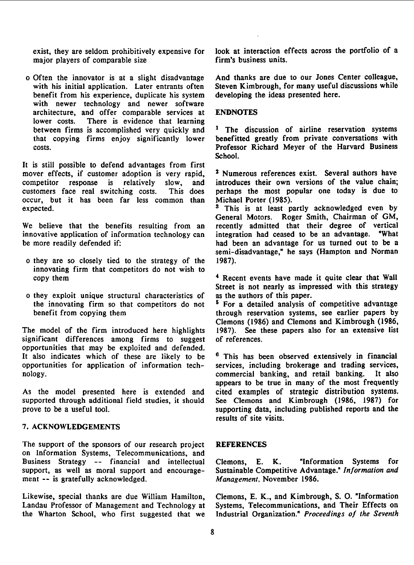major players of comparable size

o Often the innovator is at a slight disadvantage And thanks are due to our Jones Center colleague, with his initial application. Later entrants often Steven Kimbrough, for many useful of benefit from his experience, duplicate his system developing the ideas presented here. benefit from his experience, duplicate his system with newer technology and newer software architecture, and offer comparable services at ENDNOTES lower costs. There is evidence that learning between firms is accomplished very quickly and  $\frac{1}{1}$  The discussion of airline reservation systems that copying firms enjoy significantly lower benefitted greatly from private conversations with

It is still possible to defend advantages from first mover effects, if customer adoption is very rapid, <sup>2</sup> Numerous references exist. Several authors have competitor response is relatively slow, and introduces their own versions of the value chain; competitor response is relatively slow, and introduces their own versions of the value chain;<br>customers face real switching costs. This does perhaps the most popular one today is due to occur, but it has been far less common than expected.

innovative application of information technology can be more readily defended if:

- o they are so closely tied to the strategy of the 1987). innovating firm that competitors do not wish to copy them
- o they exploit unique structural characteristics of the innovating firm so that competitors do not  $5$  For a detailed analysis of competitive advantage

The model of the firm introduced here highlights 1987). See the<br>significant differences among firms to suggest of references. significant differences among firms to suggest opportunities that may be exploited and defended. It also indicates which of these are likely to be  $6$  This has been observed extensively in financial opportunities for application of information tech- services, including brokerage and trading services,

As the model presented here is extended and cited examples of strategic distribution systems. supported through additional field studies, it should See Clemons and Kimbrough (1986, 1987) for prove to be a useful tool. Supporting data, including published reports and the

### 7. ACKNOWLEDGEMENTS

The support of the sponsors of our research project REFERENCES on Information Systems, Telecommunications, and Business Strategy -- financial and intellectual Clemons, E. K. "Information Systems for support, as well as moral support and encourage- Sustainable Competitive Advantage." Information and support, as well as moral support and encourage-<br> ment -- is gratefully acknowledged. Management, November 1986.

Landau Professor of Management and Technology at the Wharton School, who first suggested that we

exist, they are seldom prohibitively expensive for look at interaction effects across the portfolio of a major players of comparable size firm's business units.

benefitted greatly from private conversations with costs. Professor Richard Meyer of the Harvard Business School.

This does perhaps the most popular one today is due to mon than Michael Porter (1985).

<sup>3</sup> This is at least partly acknowledged even by General Motors. Roger Smith, Chairman of GM, We believe that the benefits resulting from an recently admitted that their degree of vertical innovative application of information technology can integration had ceased to be an advantage. "What had been an advantage for us turned out to be a semi-disadvantage," he says (Hampton and Norman

> <sup>4</sup> Recent events have made it quite clear that Wall Street is not nearly as impressed with this strategy as the authors of this paper.

benefit from copying them through reservation systems, see earlier papers by Clemons (1986) and Clemons and Kimbrough (1986,

nology. commercial banking, and retail banking. It also appears to be true in many of the most frequently results of site visits.

Likewise, special thanks are due William Hamilton, Clemons, E. K., and Kimbrough, S. O. "Information<br>Landau Professor of Management and Technology at Systems, Telecommunications, and Their Effects on Industrial Organization." Proceedings of the Seventh